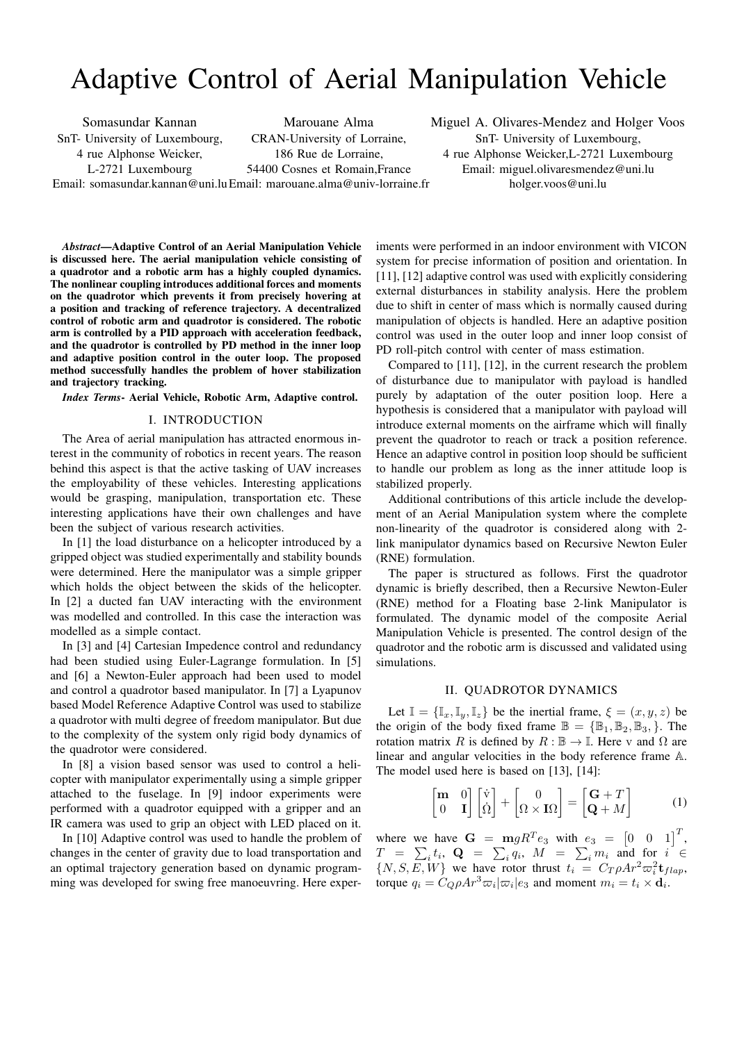# Adaptive Control of Aerial Manipulation Vehicle

Somasundar Kannan SnT- University of Luxembourg, 4 rue Alphonse Weicker,

L-2721 Luxembourg

CRAN-University of Lorraine, 186 Rue de Lorraine,

Marouane Alma

54400 Cosnes et Romain,France

Miguel A. Olivares-Mendez and Holger Voos SnT- University of Luxembourg, 4 rue Alphonse Weicker,L-2721 Luxembourg Email: miguel.olivaresmendez@uni.lu holger.voos@uni.lu

Email: somasundar.kannan@uni.lu Email: marouane.alma@univ-lorraine.fr

*Abstract***—Adaptive Control of an Aerial Manipulation Vehicle is discussed here. The aerial manipulation vehicle consisting of a quadrotor and a robotic arm has a highly coupled dynamics. The nonlinear coupling introduces additional forces and moments on the quadrotor which prevents it from precisely hovering at a position and tracking of reference trajectory. A decentralized control of robotic arm and quadrotor is considered. The robotic arm is controlled by a PID approach with acceleration feedback, and the quadrotor is controlled by PD method in the inner loop and adaptive position control in the outer loop. The proposed method successfully handles the problem of hover stabilization and trajectory tracking.**

*Index Terms***- Aerial Vehicle, Robotic Arm, Adaptive control.**

## I. INTRODUCTION

The Area of aerial manipulation has attracted enormous interest in the community of robotics in recent years. The reason behind this aspect is that the active tasking of UAV increases the employability of these vehicles. Interesting applications would be grasping, manipulation, transportation etc. These interesting applications have their own challenges and have been the subject of various research activities.

In [1] the load disturbance on a helicopter introduced by a gripped object was studied experimentally and stability bounds were determined. Here the manipulator was a simple gripper which holds the object between the skids of the helicopter. In [2] a ducted fan UAV interacting with the environment was modelled and controlled. In this case the interaction was modelled as a simple contact.

In [3] and [4] Cartesian Impedence control and redundancy had been studied using Euler-Lagrange formulation. In [5] and [6] a Newton-Euler approach had been used to model and control a quadrotor based manipulator. In [7] a Lyapunov based Model Reference Adaptive Control was used to stabilize a quadrotor with multi degree of freedom manipulator. But due to the complexity of the system only rigid body dynamics of the quadrotor were considered.

In [8] a vision based sensor was used to control a helicopter with manipulator experimentally using a simple gripper attached to the fuselage. In [9] indoor experiments were performed with a quadrotor equipped with a gripper and an IR camera was used to grip an object with LED placed on it.

In [10] Adaptive control was used to handle the problem of changes in the center of gravity due to load transportation and an optimal trajectory generation based on dynamic programming was developed for swing free manoeuvring. Here experiments were performed in an indoor environment with VICON system for precise information of position and orientation. In [11], [12] adaptive control was used with explicitly considering external disturbances in stability analysis. Here the problem due to shift in center of mass which is normally caused during manipulation of objects is handled. Here an adaptive position control was used in the outer loop and inner loop consist of PD roll-pitch control with center of mass estimation.

Compared to [11], [12], in the current research the problem of disturbance due to manipulator with payload is handled purely by adaptation of the outer position loop. Here a hypothesis is considered that a manipulator with payload will introduce external moments on the airframe which will finally prevent the quadrotor to reach or track a position reference. Hence an adaptive control in position loop should be sufficient to handle our problem as long as the inner attitude loop is stabilized properly.

Additional contributions of this article include the development of an Aerial Manipulation system where the complete non-linearity of the quadrotor is considered along with 2 link manipulator dynamics based on Recursive Newton Euler (RNE) formulation.

The paper is structured as follows. First the quadrotor dynamic is briefly described, then a Recursive Newton-Euler (RNE) method for a Floating base 2-link Manipulator is formulated. The dynamic model of the composite Aerial Manipulation Vehicle is presented. The control design of the quadrotor and the robotic arm is discussed and validated using simulations.

### II. QUADROTOR DYNAMICS

Let  $\mathbb{I} = {\mathbb{I}_x, \mathbb{I}_y, \mathbb{I}_z}$  be the inertial frame,  $\xi = (x, y, z)$  be the origin of the body fixed frame  $\mathbb{B} = {\mathbb{B}_1, \mathbb{B}_2, \mathbb{B}_3, \}$ . The rotation matrix R is defined by  $R : \mathbb{B} \to \mathbb{I}$ . Here v and  $\Omega$  are linear and angular velocities in the body reference frame A. The model used here is based on [13], [14]:

$$
\begin{bmatrix} \mathbf{m} & 0 \\ 0 & \mathbf{I} \end{bmatrix} \begin{bmatrix} \dot{\mathbf{v}} \\ \dot{\Omega} \end{bmatrix} + \begin{bmatrix} 0 \\ \Omega \times \mathbf{I}\Omega \end{bmatrix} = \begin{bmatrix} \mathbf{G} + T \\ \mathbf{Q} + M \end{bmatrix}
$$
 (1)

where we have  $\mathbf{G} = \mathbf{m} g R^T e_3$  with  $e_3 = \begin{bmatrix} 0 & 0 & 1 \end{bmatrix}^T$ ,  $T = \sum_i t_i, \mathbf{Q} = \sum_i q_i, \ M = \sum_i m_i$  and for  $i \in$  $\{N, S, \overline{E}, W\}$  we have rotor thrust  $t_i = C_T \rho A r^2 \varpi_i^2 \mathbf{t}_{flap}$ , torque  $q_i = C_Q \rho A r^3 \varpi_i |\varpi_i| e_3$  and moment  $m_i = t_i \times \dot{d}_i$ .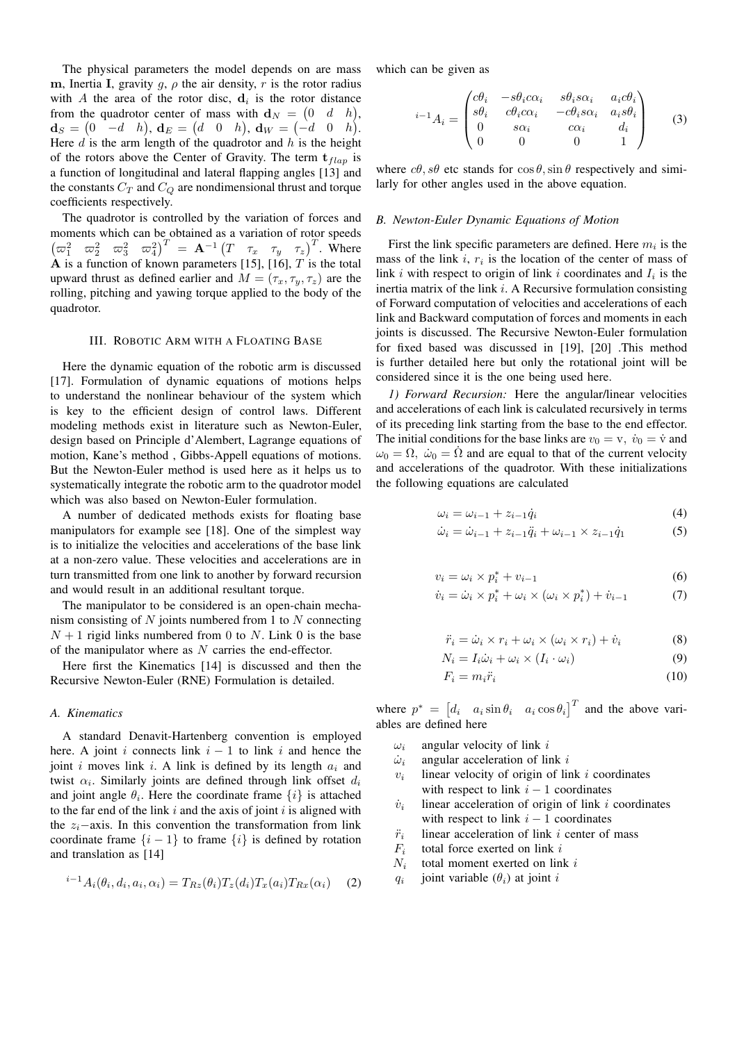The physical parameters the model depends on are mass m, Inertia I, gravity  $g, \rho$  the air density, r is the rotor radius with A the area of the rotor disc,  $\mathbf{d}_i$  is the rotor distance from the quadrotor center of mass with  $\mathbf{d}_N = \begin{pmatrix} 0 & d & h \end{pmatrix}$ ,  $\mathbf{d}_S = \begin{pmatrix} 0 & -d & h \end{pmatrix}$ ,  $\mathbf{d}_E = \begin{pmatrix} d & 0 & h \end{pmatrix}$ ,  $\mathbf{d}_W = \begin{pmatrix} -d & 0 & h \end{pmatrix}$ . Here  $d$  is the arm length of the quadrotor and  $h$  is the height of the rotors above the Center of Gravity. The term  $t_{flap}$  is a function of longitudinal and lateral flapping angles [13] and the constants  $C_T$  and  $C_Q$  are nondimensional thrust and torque coefficients respectively.

The quadrotor is controlled by the variation of forces and moments which can be obtained as a variation of rotor speeds  $\begin{pmatrix} \varpi_1^2 & \varpi_2^2 & \varpi_3^2 & \varpi_4^2 \end{pmatrix}^T = \mathbf{A}^{-1} \begin{pmatrix} T & \tau_x & \tau_y & \tau_z \end{pmatrix}^T$ . Where  $\bf{A}$  is a function of known parameters [15], [16],  $\overline{T}$  is the total upward thrust as defined earlier and  $M = (\tau_x, \tau_y, \tau_z)$  are the rolling, pitching and yawing torque applied to the body of the quadrotor.

## III. ROBOTIC ARM WITH A FLOATING BASE

Here the dynamic equation of the robotic arm is discussed [17]. Formulation of dynamic equations of motions helps to understand the nonlinear behaviour of the system which is key to the efficient design of control laws. Different modeling methods exist in literature such as Newton-Euler, design based on Principle d'Alembert, Lagrange equations of motion, Kane's method , Gibbs-Appell equations of motions. But the Newton-Euler method is used here as it helps us to systematically integrate the robotic arm to the quadrotor model which was also based on Newton-Euler formulation.

A number of dedicated methods exists for floating base manipulators for example see [18]. One of the simplest way is to initialize the velocities and accelerations of the base link at a non-zero value. These velocities and accelerations are in turn transmitted from one link to another by forward recursion and would result in an additional resultant torque.

The manipulator to be considered is an open-chain mechanism consisting of  $N$  joints numbered from 1 to  $N$  connecting  $N + 1$  rigid links numbered from 0 to N. Link 0 is the base of the manipulator where as  $N$  carries the end-effector.

Here first the Kinematics [14] is discussed and then the Recursive Newton-Euler (RNE) Formulation is detailed.

#### *A. Kinematics*

A standard Denavit-Hartenberg convention is employed here. A joint i connects link  $i - 1$  to link i and hence the joint i moves link i. A link is defined by its length  $a_i$  and twist  $\alpha_i$ . Similarly joints are defined through link offset  $d_i$ and joint angle  $\theta_i$ . Here the coordinate frame  $\{i\}$  is attached to the far end of the link  $i$  and the axis of joint  $i$  is aligned with the  $z_i$ −axis. In this convention the transformation from link coordinate frame  $\{i - 1\}$  to frame  $\{i\}$  is defined by rotation and translation as [14]

$$
{}^{i-1}A_i(\theta_i, d_i, a_i, \alpha_i) = T_{Rz}(\theta_i)T_z(d_i)T_x(a_i)T_{Rx}(\alpha_i) \qquad (2)
$$

which can be given as

$$
{}^{i-1}A_i = \begin{pmatrix} c\theta_i & -s\theta_i c\alpha_i & s\theta_i s\alpha_i & a_i c\theta_i \\ s\theta_i & c\theta_i c\alpha_i & -c\theta_i s\alpha_i & a_i s\theta_i \\ 0 & s\alpha_i & c\alpha_i & d_i \\ 0 & 0 & 0 & 1 \end{pmatrix}
$$
 (3)

where  $c\theta$ ,  $s\theta$  etc stands for  $\cos\theta$ ,  $\sin\theta$  respectively and similarly for other angles used in the above equation.

#### *B. Newton-Euler Dynamic Equations of Motion*

First the link specific parameters are defined. Here  $m_i$  is the mass of the link  $i, r_i$  is the location of the center of mass of link  $i$  with respect to origin of link  $i$  coordinates and  $I_i$  is the inertia matrix of the link  $i$ . A Recursive formulation consisting of Forward computation of velocities and accelerations of each link and Backward computation of forces and moments in each joints is discussed. The Recursive Newton-Euler formulation for fixed based was discussed in [19], [20] .This method is further detailed here but only the rotational joint will be considered since it is the one being used here.

*1) Forward Recursion:* Here the angular/linear velocities and accelerations of each link is calculated recursively in terms of its preceding link starting from the base to the end effector. The initial conditions for the base links are  $v_0 = v$ ,  $\dot{v}_0 = \dot{v}$  and  $\omega_0 = \Omega$ ,  $\dot{\omega}_0 = \dot{\Omega}$  and are equal to that of the current velocity and accelerations of the quadrotor. With these initializations the following equations are calculated

$$
\omega_i = \omega_{i-1} + z_{i-1}\dot{q}_i \tag{4}
$$

$$
\dot{\omega}_i = \dot{\omega}_{i-1} + z_{i-1}\ddot{q}_i + \omega_{i-1} \times z_{i-1}\dot{q}_1
$$
 (5)

$$
v_i = \omega_i \times p_i^* + v_{i-1} \tag{6}
$$

$$
\dot{v}_i = \dot{\omega}_i \times p_i^* + \omega_i \times (\omega_i \times p_i^*) + \dot{v}_{i-1}
$$
 (7)

$$
\ddot{r}_i = \dot{\omega}_i \times r_i + \omega_i \times (\omega_i \times r_i) + \dot{v}_i \tag{8}
$$

$$
N_i = I_i \dot{\omega}_i + \omega_i \times (I_i \cdot \omega_i) \tag{9}
$$

$$
F_i = m_i \ddot{r}_i \tag{10}
$$

where  $p^* = [d_i \ a_i \sin \theta_i \ a_i \cos \theta_i]^T$  and the above variables are defined here

- $\omega_i$  angular velocity of link i
- $\dot{\omega}_i$  angular acceleration of link i
- $v_i$ linear velocity of origin of link  $i$  coordinates with respect to link  $i - 1$  coordinates
- $\dot{v}_i$ linear acceleration of origin of link  $i$  coordinates with respect to link  $i - 1$  coordinates
- $\ddot{r}_i$ linear acceleration of link  $i$  center of mass
- $F_i$ total force exerted on link i
- $N_i$ total moment exerted on link i
- qi joint variable  $(\theta_i)$  at joint i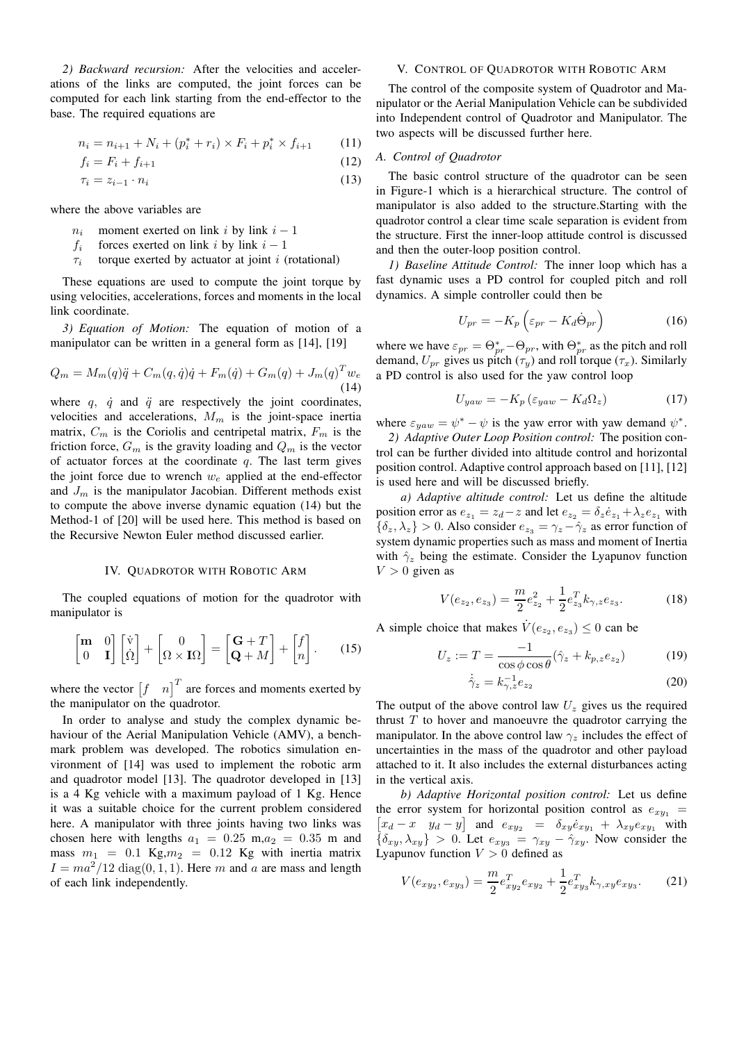*2) Backward recursion:* After the velocities and accelerations of the links are computed, the joint forces can be computed for each link starting from the end-effector to the base. The required equations are

$$
n_i = n_{i+1} + N_i + (p_i^* + r_i) \times F_i + p_i^* \times f_{i+1}
$$
 (11)

$$
f_i = F_i + f_{i+1} \tag{12}
$$

$$
\tau_i = z_{i-1} \cdot n_i \tag{13}
$$

where the above variables are

- $n_i$  moment exerted on link i by link  $i 1$
- $f_i$  forces exerted on link i by link  $i-1$
- $\tau_i$ torque exerted by actuator at joint  $i$  (rotational)

These equations are used to compute the joint torque by using velocities, accelerations, forces and moments in the local link coordinate.

*3) Equation of Motion:* The equation of motion of a manipulator can be written in a general form as [14], [19]

$$
Q_m = M_m(q)\ddot{q} + C_m(q, \dot{q})\dot{q} + F_m(\dot{q}) + G_m(q) + J_m(q)^T w_e
$$
\n(14)

where  $q$ ,  $\dot{q}$  and  $\ddot{q}$  are respectively the joint coordinates, velocities and accelerations,  $M_m$  is the joint-space inertia matrix,  $C_m$  is the Coriolis and centripetal matrix,  $F_m$  is the friction force,  $G_m$  is the gravity loading and  $Q_m$  is the vector of actuator forces at the coordinate  $q$ . The last term gives the joint force due to wrench  $w_e$  applied at the end-effector and  $J_m$  is the manipulator Jacobian. Different methods exist to compute the above inverse dynamic equation (14) but the Method-1 of [20] will be used here. This method is based on the Recursive Newton Euler method discussed earlier.

## IV. QUADROTOR WITH ROBOTIC ARM

The coupled equations of motion for the quadrotor with manipulator is

$$
\begin{bmatrix} \mathbf{m} & 0 \\ 0 & \mathbf{I} \end{bmatrix} \begin{bmatrix} \dot{\mathbf{v}} \\ \dot{\Omega} \end{bmatrix} + \begin{bmatrix} 0 \\ \Omega \times \mathbf{I}\Omega \end{bmatrix} = \begin{bmatrix} \mathbf{G} + T \\ \mathbf{Q} + M \end{bmatrix} + \begin{bmatrix} f \\ n \end{bmatrix}.
$$
 (15)

where the vector  $\begin{bmatrix} f & n \end{bmatrix}^T$  are forces and moments exerted by the manipulator on the quadrotor.

In order to analyse and study the complex dynamic behaviour of the Aerial Manipulation Vehicle (AMV), a benchmark problem was developed. The robotics simulation environment of [14] was used to implement the robotic arm and quadrotor model [13]. The quadrotor developed in [13] is a 4 Kg vehicle with a maximum payload of 1 Kg. Hence it was a suitable choice for the current problem considered here. A manipulator with three joints having two links was chosen here with lengths  $a_1 = 0.25$  m, $a_2 = 0.35$  m and mass  $m_1 = 0.1$  Kg, $m_2 = 0.12$  Kg with inertia matrix  $I = ma^2/12 \text{ diag}(0, 1, 1)$ . Here m and a are mass and length of each link independently.

#### V. CONTROL OF QUADROTOR WITH ROBOTIC ARM

The control of the composite system of Quadrotor and Manipulator or the Aerial Manipulation Vehicle can be subdivided into Independent control of Quadrotor and Manipulator. The two aspects will be discussed further here.

## *A. Control of Quadrotor*

The basic control structure of the quadrotor can be seen in Figure-1 which is a hierarchical structure. The control of manipulator is also added to the structure.Starting with the quadrotor control a clear time scale separation is evident from the structure. First the inner-loop attitude control is discussed and then the outer-loop position control.

*1) Baseline Attitude Control:* The inner loop which has a fast dynamic uses a PD control for coupled pitch and roll dynamics. A simple controller could then be

$$
U_{pr} = -K_p \left( \varepsilon_{pr} - K_d \dot{\Theta}_{pr} \right) \tag{16}
$$

where we have  $\varepsilon_{pr} = \Theta^*_{pr} - \Theta_{pr}$ , with  $\Theta^*_{pr}$  as the pitch and roll demand,  $U_{pr}$  gives us pitch  $(\tau_y)$  and roll torque  $(\tau_x)$ . Similarly a PD control is also used for the yaw control loop

$$
U_{yaw} = -K_p \left(\varepsilon_{yaw} - K_d \Omega_z\right) \tag{17}
$$

where  $\varepsilon_{yaw} = \psi^* - \psi$  is the yaw error with yaw demand  $\psi^*$ . *2) Adaptive Outer Loop Position control:* The position control can be further divided into altitude control and horizontal position control. Adaptive control approach based on [11], [12] is used here and will be discussed briefly.

*a) Adaptive altitude control:* Let us define the altitude position error as  $e_{z_1} = z_d - z$  and let  $e_{z_2} = \delta_z \dot{e}_{z_1} + \lambda_z e_{z_1}$  with  $\{\delta_z, \lambda_z\} > 0$ . Also consider  $e_{z_3} = \gamma_z - \hat{\gamma}_z$  as error function of system dynamic properties such as mass and moment of Inertia with  $\hat{\gamma}_z$  being the estimate. Consider the Lyapunov function  $V > 0$  given as

$$
V(e_{z_2}, e_{z_3}) = \frac{m}{2}e_{z_2}^2 + \frac{1}{2}e_{z_3}^T k_{\gamma, z} e_{z_3}.
$$
 (18)

A simple choice that makes  $\dot{V}(e_{z_2}, e_{z_3}) \leq 0$  can be

$$
U_z := T = \frac{-1}{\cos\phi\cos\theta} (\hat{\gamma}_z + k_{p,z}e_{z_2})
$$
(19)

$$
\dot{\hat{\gamma}}_z = k_{\gamma,z}^{-1} e_{z_2} \tag{20}
$$

The output of the above control law  $U_z$  gives us the required thrust  $T$  to hover and manoeuvre the quadrotor carrying the manipulator. In the above control law  $\gamma_z$  includes the effect of uncertainties in the mass of the quadrotor and other payload attached to it. It also includes the external disturbances acting in the vertical axis.

*b) Adaptive Horizontal position control:* Let us define the error system for horizontal position control as  $e_{xy_1}$  =  $\begin{bmatrix} x_d - x & y_d - y \end{bmatrix}$  and  $e_{xy_2} = \delta_{xy} \dot{e}_{xy_1} + \lambda_{xy} e_{xy_1}$  with  $\{\delta_{xy}, \lambda_{xy}\} > 0$ . Let  $e_{xy3} = \gamma_{xy} - \hat{\gamma}_{xy}$ . Now consider the Lyapunov function  $V > 0$  defined as

$$
V(e_{xyz}, e_{xyz}) = \frac{m}{2}e_{xyz}^T e_{xyz} + \frac{1}{2}e_{xyz}^T k_{\gamma, xy} e_{xyz}.
$$
 (21)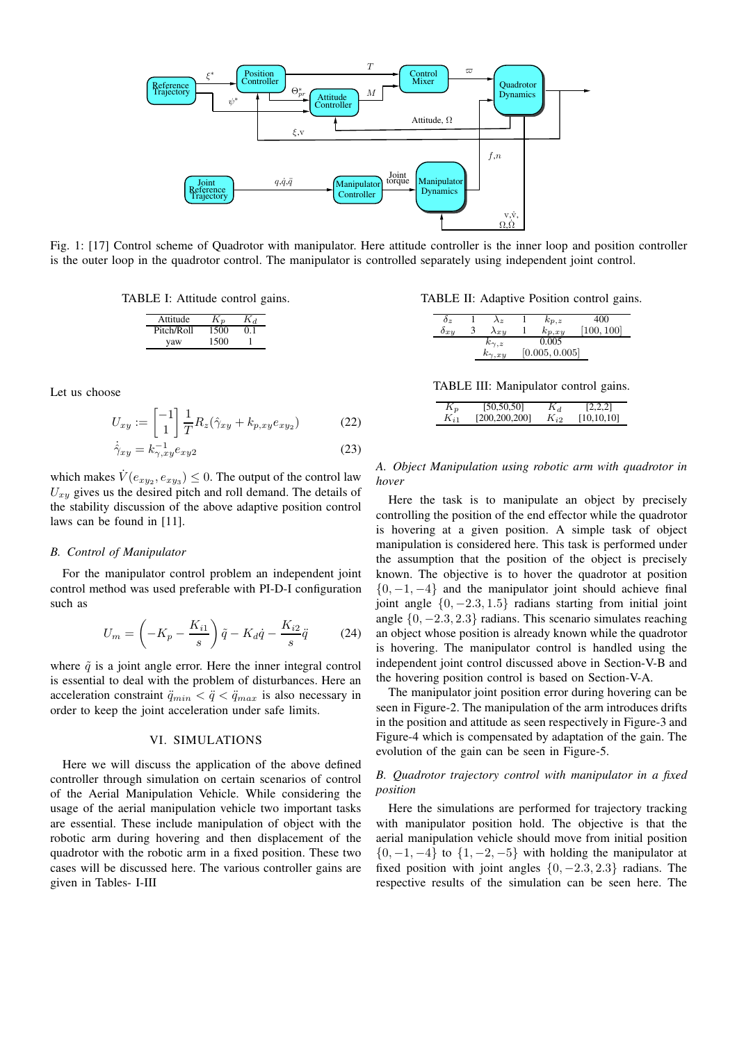

Fig. 1: [17] Control scheme of Quadrotor with manipulator. Here attitude controller is the inner loop and position controller is the outer loop in the quadrotor control. The manipulator is controlled separately using independent joint control.

TABLE I: Attitude control gains.

| Attitude   | K n  |    |
|------------|------|----|
| Pitch/Roll | 1500 | 01 |
| vaw        | 1500 |    |

Let us choose

$$
U_{xy} := \begin{bmatrix} -1 \\ 1 \end{bmatrix} \frac{1}{T} R_z(\hat{\gamma}_{xy} + k_{p,xy} e_{xy_2}) \tag{22}
$$

$$
\dot{\gamma}_{xy} = k_{\gamma,xy}^{-1} e_{xy2} \tag{23}
$$

which makes  $\dot{V}(e_{xy_2}, e_{xy_3}) \leq 0$ . The output of the control law  $U_{xy}$  gives us the desired pitch and roll demand. The details of the stability discussion of the above adaptive position control laws can be found in [11].

#### *B. Control of Manipulator*

For the manipulator control problem an independent joint control method was used preferable with PI-D-I configuration such as

$$
U_m = \left(-K_p - \frac{K_{i1}}{s}\right)\tilde{q} - K_d\dot{q} - \frac{K_{i2}}{s}\ddot{q} \tag{24}
$$

where  $\tilde{q}$  is a joint angle error. Here the inner integral control is essential to deal with the problem of disturbances. Here an acceleration constraint  $\ddot{q}_{min} < \ddot{q} < \ddot{q}_{max}$  is also necessary in order to keep the joint acceleration under safe limits.

# VI. SIMULATIONS

Here we will discuss the application of the above defined controller through simulation on certain scenarios of control of the Aerial Manipulation Vehicle. While considering the usage of the aerial manipulation vehicle two important tasks are essential. These include manipulation of object with the robotic arm during hovering and then displacement of the quadrotor with the robotic arm in a fixed position. These two cases will be discussed here. The various controller gains are given in Tables- I-III

TABLE II: Adaptive Position control gains.

| $\sigma_z$ | $\lambda_z$      | $k_{p,z}$      | 400        |
|------------|------------------|----------------|------------|
| 0xy        | $\lambda x y$    | $k_{p,xy}$     | [100, 100] |
|            | $k_{\gamma,z}$   | 0.005          |            |
|            | $k_{\gamma, xy}$ | [0.005, 0.005] |            |

TABLE III: Manipulator control gains.

| $K_p$    | [50, 50, 50]  | $K_d$    | [2,2,2]      |
|----------|---------------|----------|--------------|
| $K_{i1}$ | [200,200,200] | $K_{i2}$ | [10, 10, 10] |

*A. Object Manipulation using robotic arm with quadrotor in hover*

Here the task is to manipulate an object by precisely controlling the position of the end effector while the quadrotor is hovering at a given position. A simple task of object manipulation is considered here. This task is performed under the assumption that the position of the object is precisely known. The objective is to hover the quadrotor at position  $\{0, -1, -4\}$  and the manipulator joint should achieve final joint angle  $\{0, -2.3, 1.5\}$  radians starting from initial joint angle  $\{0, -2.3, 2.3\}$  radians. This scenario simulates reaching an object whose position is already known while the quadrotor is hovering. The manipulator control is handled using the independent joint control discussed above in Section-V-B and the hovering position control is based on Section-V-A.

The manipulator joint position error during hovering can be seen in Figure-2. The manipulation of the arm introduces drifts in the position and attitude as seen respectively in Figure-3 and Figure-4 which is compensated by adaptation of the gain. The evolution of the gain can be seen in Figure-5.

## *B. Quadrotor trajectory control with manipulator in a fixed position*

Here the simulations are performed for trajectory tracking with manipulator position hold. The objective is that the aerial manipulation vehicle should move from initial position  $\{0, -1, -4\}$  to  $\{1, -2, -5\}$  with holding the manipulator at fixed position with joint angles  $\{0, -2.3, 2.3\}$  radians. The respective results of the simulation can be seen here. The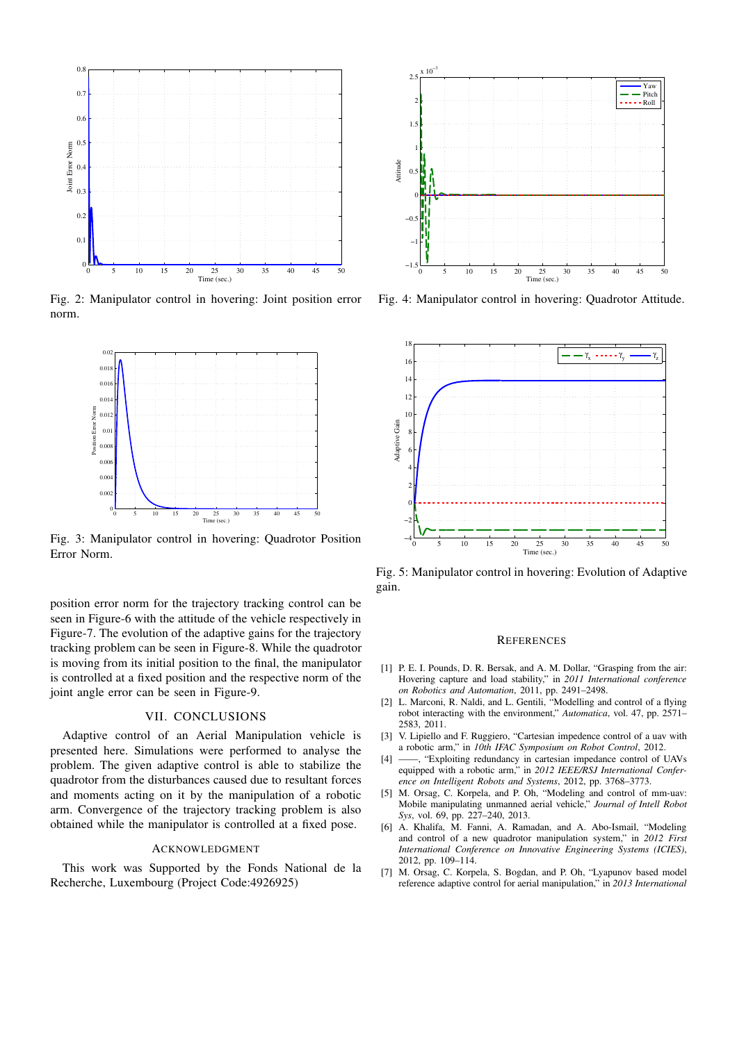

Fig. 2: Manipulator control in hovering: Joint position error norm.



Fig. 3: Manipulator control in hovering: Quadrotor Position Error Norm.

position error norm for the trajectory tracking control can be seen in Figure-6 with the attitude of the vehicle respectively in Figure-7. The evolution of the adaptive gains for the trajectory tracking problem can be seen in Figure-8. While the quadrotor is moving from its initial position to the final, the manipulator is controlled at a fixed position and the respective norm of the joint angle error can be seen in Figure-9.

## VII. CONCLUSIONS

Adaptive control of an Aerial Manipulation vehicle is presented here. Simulations were performed to analyse the problem. The given adaptive control is able to stabilize the quadrotor from the disturbances caused due to resultant forces and moments acting on it by the manipulation of a robotic arm. Convergence of the trajectory tracking problem is also obtained while the manipulator is controlled at a fixed pose.

## ACKNOWLEDGMENT

This work was Supported by the Fonds National de la Recherche, Luxembourg (Project Code:4926925)



Fig. 4: Manipulator control in hovering: Quadrotor Attitude.



Fig. 5: Manipulator control in hovering: Evolution of Adaptive gain.

#### **REFERENCES**

- [1] P. E. I. Pounds, D. R. Bersak, and A. M. Dollar, "Grasping from the air: Hovering capture and load stability," in *2011 International conference on Robotics and Automation*, 2011, pp. 2491–2498.
- [2] L. Marconi, R. Naldi, and L. Gentili, "Modelling and control of a flying robot interacting with the environment," *Automatica*, vol. 47, pp. 2571– 2583, 2011.
- [3] V. Lipiello and F. Ruggiero, "Cartesian impedence control of a uav with a robotic arm," in *10th IFAC Symposium on Robot Control*, 2012.
- [4] ——, "Exploiting redundancy in cartesian impedance control of UAVs equipped with a robotic arm," in *2012 IEEE/RSJ International Conference on Intelligent Robots and Systems*, 2012, pp. 3768–3773.
- [5] M. Orsag, C. Korpela, and P. Oh, "Modeling and control of mm-uav: Mobile manipulating unmanned aerial vehicle," *Journal of Intell Robot Sys*, vol. 69, pp. 227–240, 2013.
- [6] A. Khalifa, M. Fanni, A. Ramadan, and A. Abo-Ismail, "Modeling and control of a new quadrotor manipulation system," in *2012 First International Conference on Innovative Engineering Systems (ICIES)*, 2012, pp. 109–114.
- [7] M. Orsag, C. Korpela, S. Bogdan, and P. Oh, "Lyapunov based model reference adaptive control for aerial manipulation," in *2013 International*